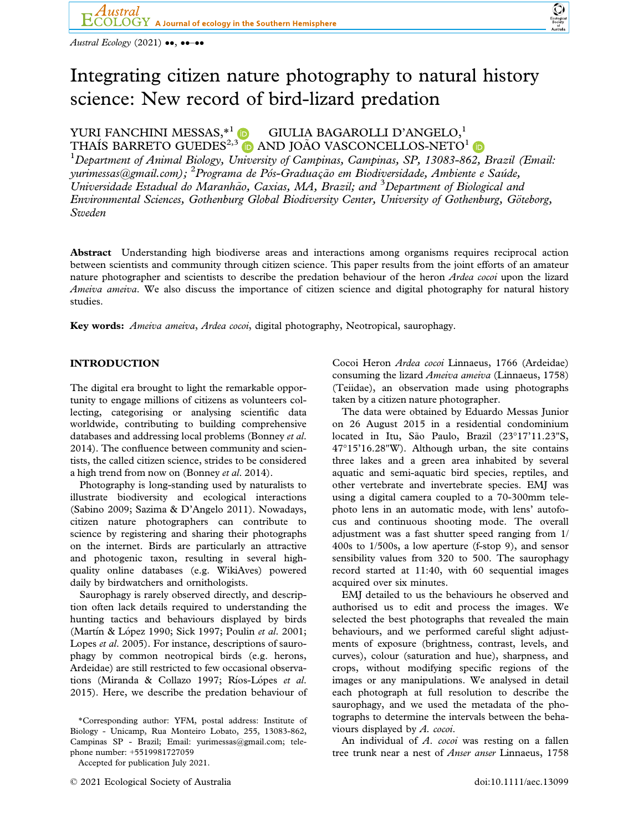Austral Ecology (2021)  $\bullet\bullet$ ,  $\bullet\bullet-\bullet\bullet$ 

# Integrating citizen nature photography to natural history science: New record of bird-lizard predation

## YURI FANCHINI MESSAS, <sup>\*1</sup> D GIULIA BAGAROLLI D'ANGELO,<sup>1</sup> THAÍS BARRETO GUEDES<sup>2,[3](https://orcid.org/0000-0002-5778-5326)</sup> D AND JOÃO VASCONCELLOS-NETO<sup>1</sup> D

<sup>1</sup>Department of Animal Biology, University of Campinas, Campinas, SP, 13083-862, Brazil (Email: yurimessas $@$ gmail.com); <sup>2</sup> Programa de Pós-Graduação em Biodiversidade, Ambiente e Saúde, Universidade Estadual do Maranhão, Caxias, MA, Brazil; and <sup>3</sup>Department of Biological and Environmental Sciences, Gothenburg Global Biodiversity Center, University of Gothenburg, Göteborg, Sweden

Abstract Understanding high biodiverse areas and interactions among organisms requires reciprocal action between scientists and community through citizen science. This paper results from the joint efforts of an amateur nature photographer and scientists to describe the predation behaviour of the heron Ardea cocoi upon the lizard Ameiva ameiva. We also discuss the importance of citizen science and digital photography for natural history studies.

Key words: Ameiva ameiva, Ardea cocoi, digital photography, Neotropical, saurophagy.

### INTRODUCTION

The digital era brought to light the remarkable opportunity to engage millions of citizens as volunteers collecting, categorising or analysing scientific data worldwide, contributing to building comprehensive databases and addressing local problems (Bonney et al. 2014). The confluence between community and scientists, the called citizen science, strides to be considered a high trend from now on (Bonney et al. 2014).

Photography is long-standing used by naturalists to illustrate biodiversity and ecological interactions (Sabino 2009; Sazima & D'Angelo 2011). Nowadays, citizen nature photographers can contribute to science by registering and sharing their photographs on the internet. Birds are particularly an attractive and photogenic taxon, resulting in several highquality online databases (e.g. WikiAves) powered daily by birdwatchers and ornithologists.

Saurophagy is rarely observed directly, and description often lack details required to understanding the hunting tactics and behaviours displayed by birds (Martín & López 1990; Sick 1997; Poulin et al. 2001; Lopes *et al.* 2005). For instance, descriptions of saurophagy by common neotropical birds (e.g. herons, Ardeidae) are still restricted to few occasional observations (Miranda & Collazo 1997; Ríos-Lópes et al. 2015). Here, we describe the predation behaviour of

Cocoi Heron Ardea cocoi Linnaeus, 1766 (Ardeidae) consuming the lizard Ameiva ameiva (Linnaeus, 1758) (Teiidae), an observation made using photographs taken by a citizen nature photographer.

The data were obtained by Eduardo Messas Junior on 26 August 2015 in a residential condominium located in Itu, São Paulo, Brazil (23°17'11.23"S, 47°15'16.28"W). Although urban, the site contains three lakes and a green area inhabited by several aquatic and semi-aquatic bird species, reptiles, and other vertebrate and invertebrate species. EMJ was using a digital camera coupled to a 70-300mm telephoto lens in an automatic mode, with lens' autofocus and continuous shooting mode. The overall adjustment was a fast shutter speed ranging from 1/ 400s to 1/500s, a low aperture (f-stop 9), and sensor sensibility values from 320 to 500. The saurophagy record started at 11:40, with 60 sequential images acquired over six minutes.

EMJ detailed to us the behaviours he observed and authorised us to edit and process the images. We selected the best photographs that revealed the main behaviours, and we performed careful slight adjustments of exposure (brightness, contrast, levels, and curves), colour (saturation and hue), sharpness, and crops, without modifying specific regions of the images or any manipulations. We analysed in detail each photograph at full resolution to describe the saurophagy, and we used the metadata of the photographs to determine the intervals between the behaviours displayed by A. cocoi.

An individual of A. cocoi was resting on a fallen tree trunk near a nest of Anser anser Linnaeus, 1758

<sup>\*</sup>Corresponding author: YFM, postal address: Institute of Biology - Unicamp, Rua Monteiro Lobato, 255, 13083-862, Campinas SP - Brazil; Email: [yurimessas@gmail.com;](mailto:) telephone number: +5519981727059

Accepted for publication July 2021.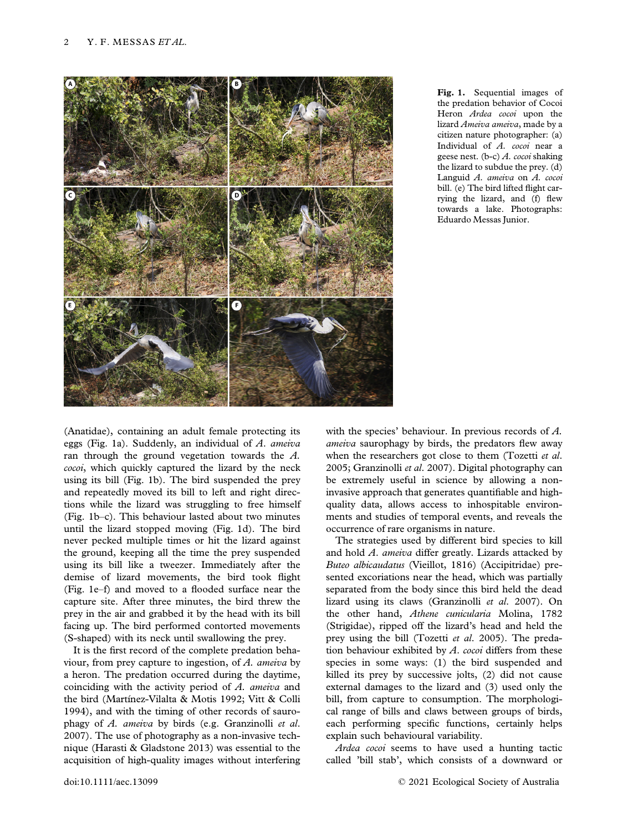

Fig. 1. Sequential images of the predation behavior of Cocoi Heron Ardea cocoi upon the lizard Ameiva ameiva, made by a citizen nature photographer: (a) Individual of A. cocoi near a geese nest. (b-c) A. cocoi shaking the lizard to subdue the prey. (d) Languid A. ameiva on A. cocoi bill. (e) The bird lifted flight carrying the lizard, and (f) flew towards a lake. Photographs: Eduardo Messas Junior.

(Anatidae), containing an adult female protecting its eggs (Fig. 1a). Suddenly, an individual of  $A$ . ameiva ran through the ground vegetation towards the A. cocoi, which quickly captured the lizard by the neck using its bill (Fig. 1b). The bird suspended the prey and repeatedly moved its bill to left and right directions while the lizard was struggling to free himself (Fig. 1b–c). This behaviour lasted about two minutes until the lizard stopped moving (Fig. 1d). The bird never pecked multiple times or hit the lizard against the ground, keeping all the time the prey suspended using its bill like a tweezer. Immediately after the demise of lizard movements, the bird took flight (Fig. 1e–f) and moved to a flooded surface near the capture site. After three minutes, the bird threw the prey in the air and grabbed it by the head with its bill facing up. The bird performed contorted movements (S-shaped) with its neck until swallowing the prey.

It is the first record of the complete predation behaviour, from prey capture to ingestion, of A. ameiva by a heron. The predation occurred during the daytime, coinciding with the activity period of A. ameiva and the bird (Martínez-Vilalta & Motis 1992; Vitt & Colli 1994), and with the timing of other records of saurophagy of A. ameiva by birds (e.g. Granzinolli et al. 2007). The use of photography as a non-invasive technique (Harasti & Gladstone 2013) was essential to the acquisition of high-quality images without interfering with the species' behaviour. In previous records of A. ameiva saurophagy by birds, the predators flew away when the researchers got close to them (Tozetti et al. 2005; Granzinolli et al. 2007). Digital photography can be extremely useful in science by allowing a noninvasive approach that generates quantifiable and highquality data, allows access to inhospitable environments and studies of temporal events, and reveals the occurrence of rare organisms in nature.

The strategies used by different bird species to kill and hold A. ameiva differ greatly. Lizards attacked by Buteo albicaudatus (Vieillot, 1816) (Accipitridae) presented excoriations near the head, which was partially separated from the body since this bird held the dead lizard using its claws (Granzinolli et al. 2007). On the other hand, Athene cunicularia Molina, 1782 (Strigidae), ripped off the lizard's head and held the prey using the bill (Tozetti et al. 2005). The predation behaviour exhibited by  $A$ . cocoi differs from these species in some ways: (1) the bird suspended and killed its prey by successive jolts, (2) did not cause external damages to the lizard and (3) used only the bill, from capture to consumption. The morphological range of bills and claws between groups of birds, each performing specific functions, certainly helps explain such behavioural variability.

Ardea cocoi seems to have used a hunting tactic called 'bill stab', which consists of a downward or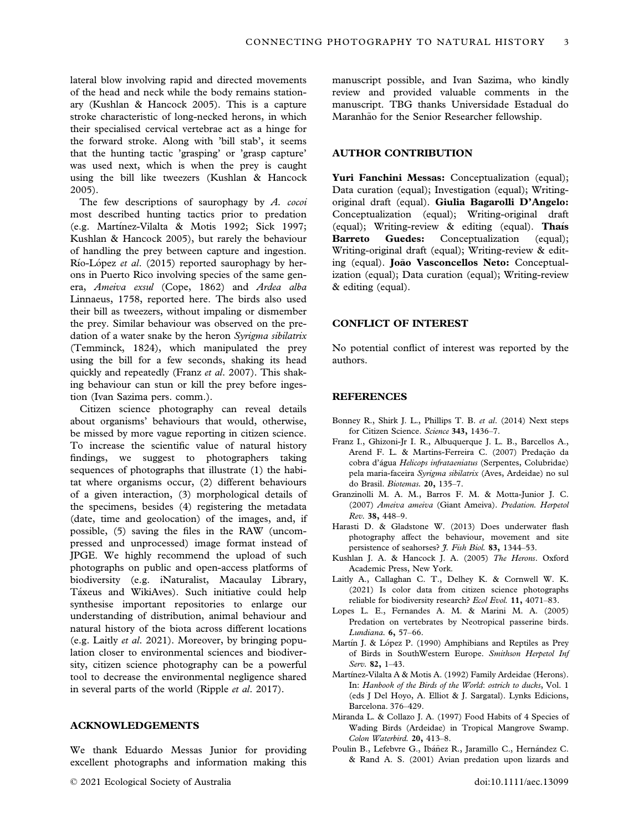lateral blow involving rapid and directed movements of the head and neck while the body remains stationary (Kushlan & Hancock 2005). This is a capture stroke characteristic of long-necked herons, in which their specialised cervical vertebrae act as a hinge for the forward stroke. Along with 'bill stab', it seems that the hunting tactic 'grasping' or 'grasp capture' was used next, which is when the prey is caught using the bill like tweezers (Kushlan & Hancock 2005).

The few descriptions of saurophagy by A. cocoi most described hunting tactics prior to predation (e.g. Martínez-Vilalta & Motis 1992; Sick 1997; Kushlan & Hancock 2005), but rarely the behaviour of handling the prey between capture and ingestion. Río-López et al. (2015) reported saurophagy by herons in Puerto Rico involving species of the same genera, Ameiva exsul (Cope, 1862) and Ardea alba Linnaeus, 1758, reported here. The birds also used their bill as tweezers, without impaling or dismember the prey. Similar behaviour was observed on the predation of a water snake by the heron Syrigma sibilatrix (Temminck, 1824), which manipulated the prey using the bill for a few seconds, shaking its head quickly and repeatedly (Franz et al. 2007). This shaking behaviour can stun or kill the prey before ingestion (Ivan Sazima pers. comm.).

Citizen science photography can reveal details about organisms' behaviours that would, otherwise, be missed by more vague reporting in citizen science. To increase the scientific value of natural history findings, we suggest to photographers taking sequences of photographs that illustrate (1) the habitat where organisms occur, (2) different behaviours of a given interaction, (3) morphological details of the specimens, besides (4) registering the metadata (date, time and geolocation) of the images, and, if possible, (5) saving the files in the RAW (uncompressed and unprocessed) image format instead of JPGE. We highly recommend the upload of such photographs on public and open-access platforms of biodiversity (e.g. iNaturalist, Macaulay Library, Táxeus and WikiAves). Such initiative could help synthesise important repositories to enlarge our understanding of distribution, animal behaviour and natural history of the biota across different locations (e.g. Laitly et al. 2021). Moreover, by bringing population closer to environmental sciences and biodiversity, citizen science photography can be a powerful tool to decrease the environmental negligence shared in several parts of the world (Ripple et al. 2017).

#### ACKNOWLEDGEMENTS

We thank Eduardo Messas Junior for providing excellent photographs and information making this

manuscript possible, and Ivan Sazima, who kindly review and provided valuable comments in the manuscript. TBG thanks Universidade Estadual do Maranhão for the Senior Researcher fellowship.

#### AUTHOR CONTRIBUTION

Yuri Fanchini Messas: Conceptualization (equal); Data curation (equal); Investigation (equal); Writingoriginal draft (equal). Giulia Bagarolli D'Angelo: Conceptualization (equal); Writing-original draft (equal); Writing-review & editing (equal). Thais Barreto Guedes: Conceptualization (equal); Writing-original draft (equal); Writing-review & editing (equal). João Vasconcellos Neto: Conceptualization (equal); Data curation (equal); Writing-review & editing (equal).

#### CONFLICT OF INTEREST

No potential conflict of interest was reported by the authors.

#### **REFERENCES**

- Bonney R., Shirk J. L., Phillips T. B. et al. (2014) Next steps for Citizen Science. Science 343, 1436-7.
- Franz I., Ghizoni-Jr I. R., Albuquerque J. L. B., Barcellos A., Arend F. L. & Martins-Ferreira C. (2007) Predação da cobra d'agua Helicops infrataeniatus (Serpentes, Colubridae) pela maria-faceira Syrigma sibilatrix (Aves, Ardeidae) no sul do Brasil. Biotemas. 20, 135–7.
- Granzinolli M. A. M., Barros F. M. & Motta-Junior J. C. (2007) Ameiva ameiva (Giant Ameiva). Predation. Herpetol Rev. 38, 448–9.
- Harasti D. & Gladstone W. (2013) Does underwater flash photography affect the behaviour, movement and site persistence of seahorses? J. Fish Biol. 83, 1344-53.
- Kushlan J. A. & Hancock J. A. (2005) The Herons. Oxford Academic Press, New York.
- Laitly A., Callaghan C. T., Delhey K. & Cornwell W. K. (2021) Is color data from citizen science photographs reliable for biodiversity research? Ecol Evol. 11, 4071–83.
- Lopes L. E., Fernandes A. M. & Marini M. A. (2005) Predation on vertebrates by Neotropical passerine birds. Lundiana. 6, 57–66.
- Martín J. & López P. (1990) Amphibians and Reptiles as Prey of Birds in SouthWestern Europe. Smithson Herpetol Inf Serv. 82, 1–43.
- Martínez-Vilalta A & Motis A. (1992) Family Ardeidae (Herons). In: Hanbook of the Birds of the World: ostrich to ducks, Vol. 1 (eds J Del Hoyo, A. Elliot & J. Sargatal). Lynks Edicions, Barcelona. 376–429.
- Miranda L. & Collazo J. A. (1997) Food Habits of 4 Species of Wading Birds (Ardeidae) in Tropical Mangrove Swamp. Colon Waterbird. 20, 413–8.
- Poulin B., Lefebvre G., Ibáñez R., Jaramillo C., Hernández C. & Rand A. S. (2001) Avian predation upon lizards and